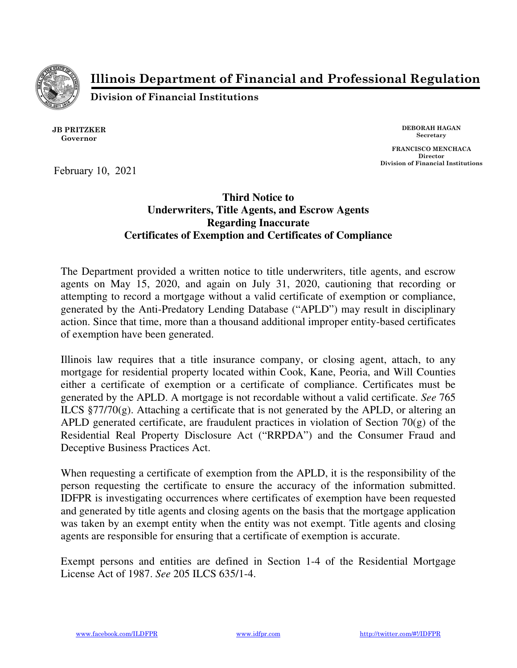

Illinois Department of Financial and Professional Regulation

Division of Financial Institutions

JB PRITZKER Governor

DEBORAH HAGAN Secretary

FRANCISCO MENCHACA Director Division of Financial Institutions

February 10, 2021

## **Third Notice to Underwriters, Title Agents, and Escrow Agents Regarding Inaccurate Certificates of Exemption and Certificates of Compliance**

The Department provided a written notice to title underwriters, title agents, and escrow agents on May 15, 2020, and again on July 31, 2020, cautioning that recording or attempting to record a mortgage without a valid certificate of exemption or compliance, generated by the Anti-Predatory Lending Database ("APLD") may result in disciplinary action. Since that time, more than a thousand additional improper entity-based certificates of exemption have been generated.

Illinois law requires that a title insurance company, or closing agent, attach, to any mortgage for residential property located within Cook, Kane, Peoria, and Will Counties either a certificate of exemption or a certificate of compliance. Certificates must be generated by the APLD. A mortgage is not recordable without a valid certificate. *See* 765 ILCS §77/70(g). Attaching a certificate that is not generated by the APLD, or altering an APLD generated certificate, are fraudulent practices in violation of Section 70(g) of the Residential Real Property Disclosure Act ("RRPDA") and the Consumer Fraud and Deceptive Business Practices Act.

When requesting a certificate of exemption from the APLD, it is the responsibility of the person requesting the certificate to ensure the accuracy of the information submitted. IDFPR is investigating occurrences where certificates of exemption have been requested and generated by title agents and closing agents on the basis that the mortgage application was taken by an exempt entity when the entity was not exempt. Title agents and closing agents are responsible for ensuring that a certificate of exemption is accurate.

Exempt persons and entities are defined in Section 1-4 of the Residential Mortgage License Act of 1987. *See* 205 ILCS 635/1-4.